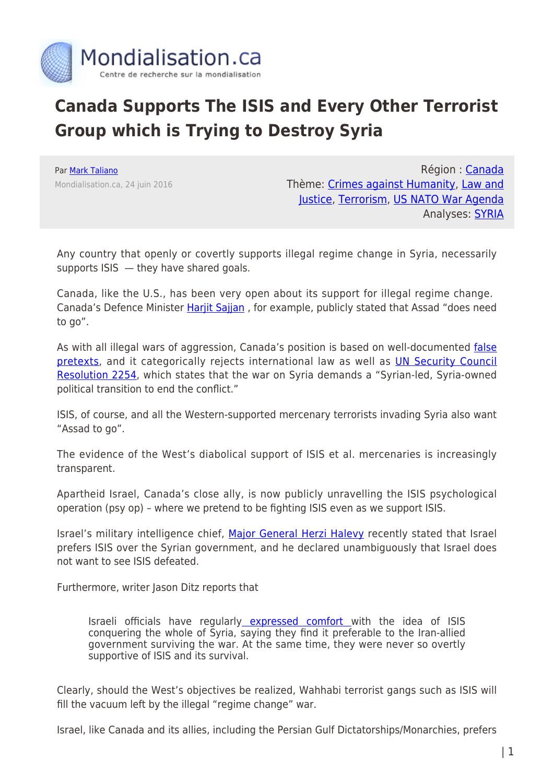

## **Canada Supports The ISIS and Every Other Terrorist Group which is Trying to Destroy Syria**

Par [Mark Taliano](https://www.mondialisation.ca/author/mark-taliano) Mondialisation.ca, 24 juin 2016

Région : [Canada](https://www.mondialisation.ca/region/canada) Thème: [Crimes against Humanity](https://www.mondialisation.ca/theme/crimes-against-humanity), [Law and](https://www.mondialisation.ca/theme/law-and-justice) [Justice,](https://www.mondialisation.ca/theme/law-and-justice) [Terrorism](https://www.mondialisation.ca/theme/9-11-war-on-terrorism), [US NATO War Agenda](https://www.mondialisation.ca/theme/us-nato-war-agenda) Analyses: **SYRIA** 

Any country that openly or covertly supports illegal regime change in Syria, necessarily supports ISIS — they have shared goals.

Canada, like the U.S., has been very open about its support for illegal regime change. Canada's Defence Minister Harjit Sajjan, for example, publicly stated that Assad "does need to go".

As with all illegal wars of aggression, Canada's position is based on well-documented [false](http://www.mintpressnews.com/people-west-still-believe-official-lies-syria/215969/) [pretexts](http://www.mintpressnews.com/people-west-still-believe-official-lies-syria/215969/), and it categorically rejects international law as well as [UN Security Council](http://www.un.org/press/en/2015/sc12171.doc.htm) [Resolution 2254,](http://www.un.org/press/en/2015/sc12171.doc.htm) which states that the war on Syria demands a "Syrian-led, Syria-owned political transition to end the conflict."

ISIS, of course, and all the Western-supported mercenary terrorists invading Syria also want "Assad to go".

The evidence of the West's diabolical support of ISIS et al. mercenaries is increasingly transparent.

Apartheid Israel, Canada's close ally, is now publicly unravelling the ISIS psychological operation (psy op) – where we pretend to be fighting ISIS even as we support ISIS.

Israel's military intelligence chief, [Major General Herzi Halevy](http://news.antiwar.com/2016/06/21/israeli-intel-chief-we-dont-want-isis-defeated-in-syria/?utm_source=feedburner&utm_medium=email&utm_campaign=Feed%3A+AntiwarNews+%28News+From+Antiwar.com%29) recently stated that Israel prefers ISIS over the Syrian government, and he declared unambiguously that Israel does not want to see ISIS defeated.

Furthermore, writer Jason Ditz reports that

Israeli officials have regularly [expressed comfort w](http://news.antiwar.com/2016/01/19/israeli-dm-prefers-isis-to-iran/)ith the idea of ISIS conquering the whole of Syria, saying they find it preferable to the Iran-allied government surviving the war. At the same time, they were never so overtly supportive of ISIS and its survival.

Clearly, should the West's objectives be realized, Wahhabi terrorist gangs such as ISIS will fill the vacuum left by the illegal "regime change" war.

Israel, like Canada and its allies, including the Persian Gulf Dictatorships/Monarchies, prefers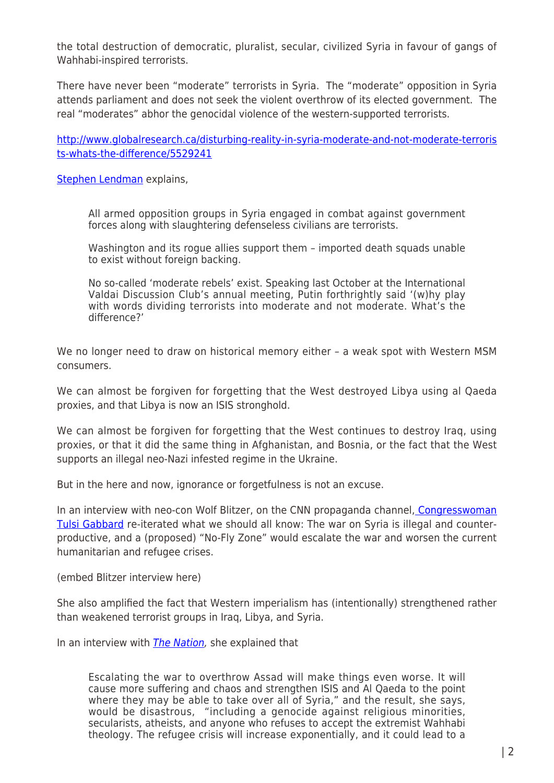the total destruction of democratic, pluralist, secular, civilized Syria in favour of gangs of Wahhabi-inspired terrorists.

There have never been "moderate" terrorists in Syria. The "moderate" opposition in Syria attends parliament and does not seek the violent overthrow of its elected government. The real "moderates" abhor the genocidal violence of the western-supported terrorists.

[http://www.globalresearch.ca/disturbing-reality-in-syria-moderate-and-not-moderate-terroris](http://www.globalresearch.ca/disturbing-reality-in-syria-moderate-and-not-moderate-terrorists-whats-the-difference/5529241) [ts-whats-the-difference/5529241](http://www.globalresearch.ca/disturbing-reality-in-syria-moderate-and-not-moderate-terrorists-whats-the-difference/5529241)

[Stephen Lendman](http://www.globalresearch.ca/disturbing-reality-in-syria-moderate-and-not-moderate-terrorists-whats-the-difference/5529241) explains,

All armed opposition groups in Syria engaged in combat against government forces along with slaughtering defenseless civilians are terrorists.

Washington and its rogue allies support them – imported death squads unable to exist without foreign backing.

No so-called 'moderate rebels' exist. Speaking last October at the International Valdai Discussion Club's annual meeting, Putin forthrightly said '(w)hy play with words dividing terrorists into moderate and not moderate. What's the difference?'

We no longer need to draw on historical memory either – a weak spot with Western MSM consumers.

We can almost be forgiven for forgetting that the West destroyed Libya using al Qaeda proxies, and that Libya is now an ISIS stronghold.

We can almost be forgiven for forgetting that the West continues to destroy Iraq, using proxies, or that it did the same thing in Afghanistan, and Bosnia, or the fact that the West supports an illegal neo-Nazi infested regime in the Ukraine.

But in the here and now, ignorance or forgetfulness is not an excuse.

In an interview with neo-con Wolf Blitzer, on the CNN propaganda channel, [Congresswoman](https://www.thenation.com/article/the-state-departments-wrong-headed-push-for-war-with-syria/) [Tulsi Gabbard](https://www.thenation.com/article/the-state-departments-wrong-headed-push-for-war-with-syria/) re-iterated what we should all know: The war on Syria is illegal and counterproductive, and a (proposed) "No-Fly Zone" would escalate the war and worsen the current humanitarian and refugee crises.

(embed Blitzer interview here)

She also amplified the fact that Western imperialism has (intentionally) strengthened rather than weakened terrorist groups in Iraq, Libya, and Syria.

In an interview with *The Nation*, she explained that

Escalating the war to overthrow Assad will make things even worse. It will cause more suffering and chaos and strengthen ISIS and Al Qaeda to the point where they may be able to take over all of Syria," and the result, she says, would be disastrous, "including a genocide against religious minorities, secularists, atheists, and anyone who refuses to accept the extremist Wahhabi theology. The refugee crisis will increase exponentially, and it could lead to a